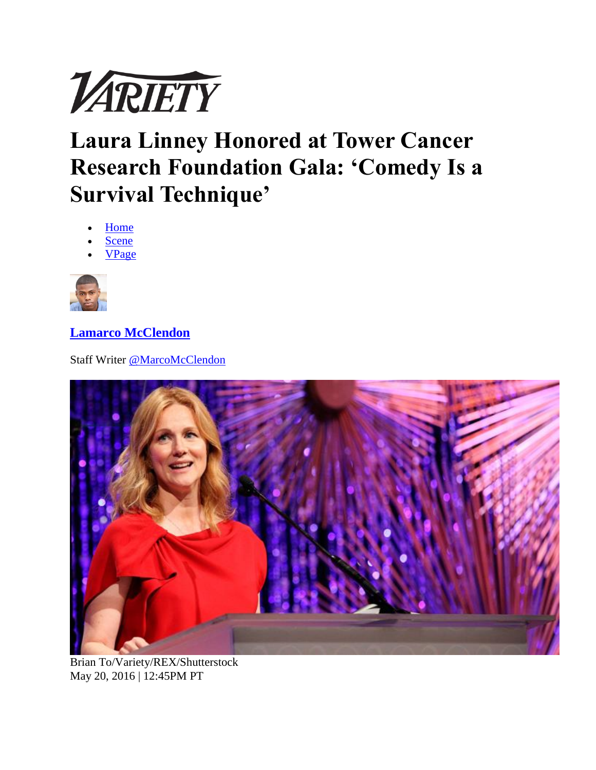

## **Laura Linney Honored at Tower Cancer Research Foundation Gala: 'Comedy Is a Survival Technique'**

- **[Home](http://variety.com/)**
- [Scene](http://variety.com/v/scene/)
- [VPage](http://variety.com/c/vpage/)



**[Lamarco McClendon](http://variety.com/author/lamarco-mcclendon/)**

Staff Writer [@MarcoMcClendon](http://twitter.com/@MarcoMcClendon)



Brian To/Variety/REX/Shutterstock May 20, 2016 | 12:45PM PT